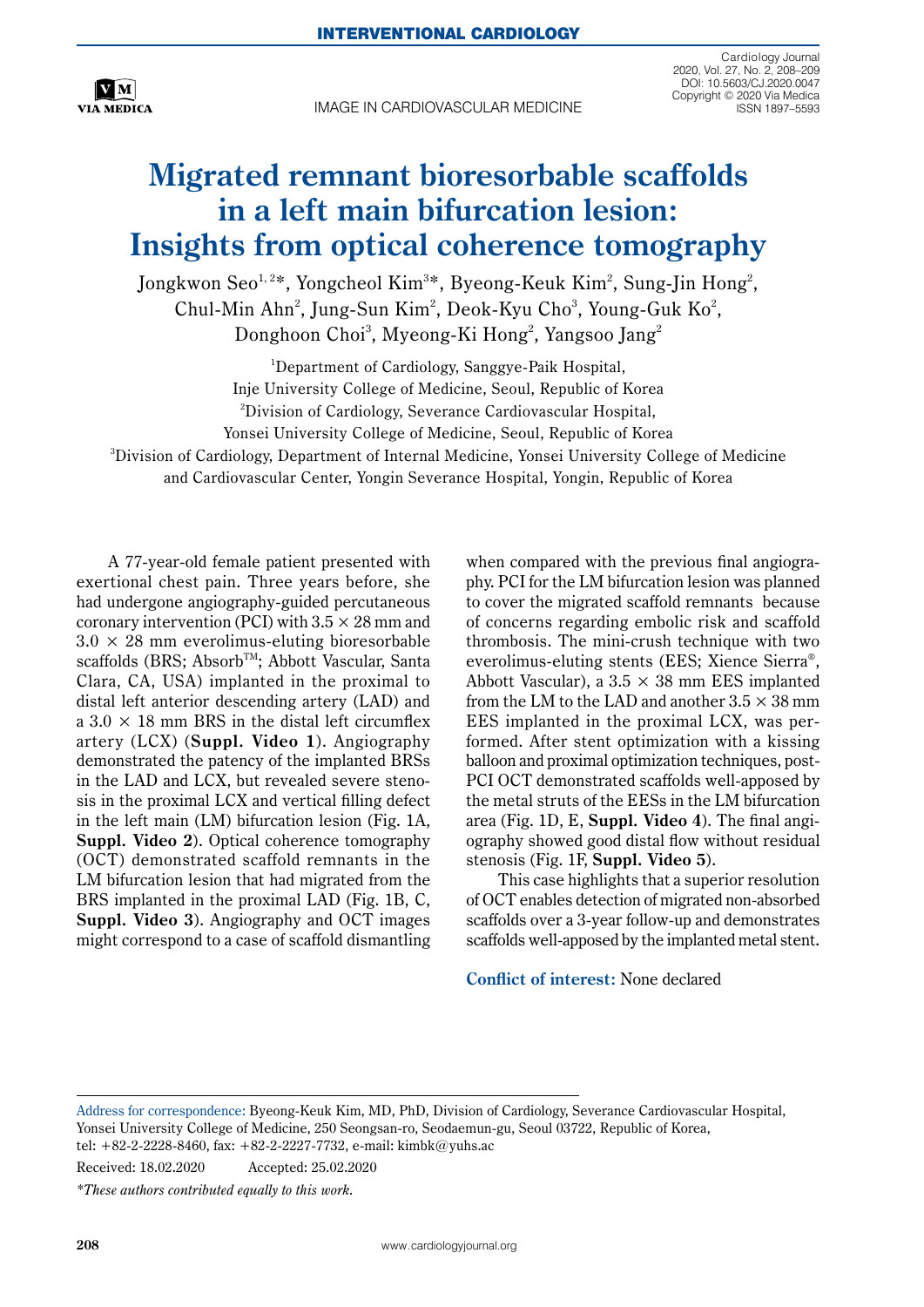

IMAGE IN CARDIOVASCULAR MEDICINE

Cardiology Journal 2020, Vol. 27, No. 2, 208–209 DOI: 10.5603/CJ.2020.0047 Copyright © 2020 Via Medica ISSN 1897–5593

## **Migrated remnant bioresorbable scaffolds in a left main bifurcation lesion: Insights from optical coherence tomography**

Jongkwon Seo $^{1,2}$ \*, Yongcheol Kim $^{3}$ \*, Byeong-Keuk Kim $^{2}$ , Sung-Jin Hong $^{2}$ , Chul-Min Ahn<sup>2</sup>, Jung-Sun Kim<sup>2</sup>, Deok-Kyu Cho<sup>3</sup>, Young-Guk Ko<sup>2</sup>, Donghoon Choi $^3$ , Myeong-Ki Hong $^2$ , Yangsoo Jang $^2$ 

<sup>1</sup>Department of Cardiology, Sanggye-Paik Hospital, Inje University College of Medicine, Seoul, Republic of Korea 2 Division of Cardiology, Severance Cardiovascular Hospital, Yonsei University College of Medicine, Seoul, Republic of Korea 3 Division of Cardiology, Department of Internal Medicine, Yonsei University College of Medicine and Cardiovascular Center, Yongin Severance Hospital, Yongin, Republic of Korea

A 77-year-old female patient presented with exertional chest pain. Three years before, she had undergone angiography-guided percutaneous coronary intervention (PCI) with  $3.5 \times 28$  mm and  $3.0 \times 28$  mm everolimus-eluting bioresorbable scaffolds (BRS; Absorb<sup>TM</sup>; Abbott Vascular, Santa Clara, CA, USA) implanted in the proximal to distal left anterior descending artery (LAD) and a  $3.0 \times 18$  mm BRS in the distal left circumflex artery (LCX) (**Suppl. Video 1**). Angiography demonstrated the patency of the implanted BRSs in the LAD and LCX, but revealed severe stenosis in the proximal LCX and vertical filling defect in the left main (LM) bifurcation lesion (Fig. 1A, **Suppl. Video 2**). Optical coherence tomography (OCT) demonstrated scaffold remnants in the LM bifurcation lesion that had migrated from the BRS implanted in the proximal LAD (Fig. 1B, C, **Suppl. Video 3**). Angiography and OCT images might correspond to a case of scaffold dismantling when compared with the previous final angiography. PCI for the LM bifurcation lesion was planned to cover the migrated scaffold remnants because of concerns regarding embolic risk and scaffold thrombosis. The mini-crush technique with two everolimus-eluting stents (EES; Xience Sierra®, Abbott Vascular), a  $3.5 \times 38$  mm EES implanted from the LM to the LAD and another  $3.5 \times 38$  mm EES implanted in the proximal LCX, was performed. After stent optimization with a kissing balloon and proximal optimization techniques, post-PCI OCT demonstrated scaffolds well-apposed by the metal struts of the EESs in the LM bifurcation area (Fig. 1D, E, **Suppl. Video 4**). The final angiography showed good distal flow without residual stenosis (Fig. 1F, **Suppl. Video 5**).

This case highlights that a superior resolution of OCT enables detection of migrated non-absorbed scaffolds over a 3-year follow-up and demonstrates scaffolds well-apposed by the implanted metal stent.

**Conflict of interest:** None declared

Received: 18.02.2020 Accepted: 25.02.2020

*\*These authors contributed equally to this work.*

Address for correspondence: Byeong-Keuk Kim, MD, PhD, Division of Cardiology, Severance Cardiovascular Hospital, Yonsei University College of Medicine, 250 Seongsan-ro, Seodaemun-gu, Seoul 03722, Republic of Korea, tel: +82-2-2228-8460, fax: +82-2-2227-7732, e-mail: [kimbk@yuhs.ac](mailto:kimbk@yuhs.ac)